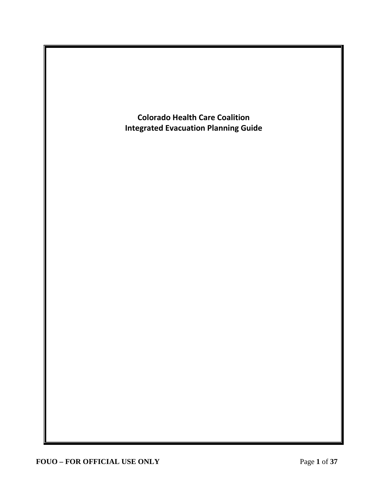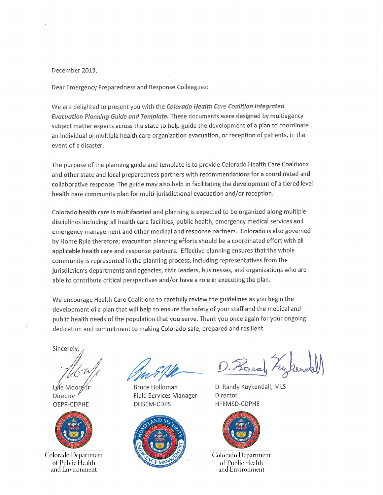#### December 2013,

Dear Emergency Preparedness and Response Colleagues:

We are delighted to present you with the Colorado Health Care Coalition Integrated Evacuation Planning Guide and Template. These documents were designed by multiagency subject matter experts across the state to help guide the development of a plan to coordinate an individual or multiple health care organization evacuation, or reception of patients, in the event of a disaster.

The purpose of the planning guide and template is to provide Colorado Health Care Coalitions and other state and local preparedness partners with recommendations for a coordinated and collaborative response. The guide may also help in facilitating the development of a tiered level health care community plan for multi-jurisdictional evacuation and/or reception.

Colorado health care is multifaceted and planning is expected to be organized along multiple disciplines including: all health care facilities, public health, emergency medical services and emergency management and other medical and response partners. Colorado is also governed by Home Rule therefore; evacuation planning efforts should be a coordinated effort with all applicable health care and response partners. Effective planning ensures that the whole community is represented in the planning process, including representatives from the jurisdiction's departments and agencies, civic leaders, businesses, and organizations who are able to contribute critical perspectives and/or have a role in executing the plan.

We encourage Health Care Coalitions to carefully review the guidelines as you begin the development of a plan that will help to ensure the safety of your staff and the medical and public health needs of the population that you serve. Thank you once again for your ongoing dedication and commitment to making Colorado safe, prepared and resilient.

Sincerely.

Director OEPR-CDPHE



Colorado Department of Public Health and Environment

Bruce Holloman **Field Services Manager** DHSEM-CDPS



D. Rand Lykene

D. Randy Kuykendall, MLS Director **HFEMSD-CDPHE** 



Colorado Department of Public Health and Environment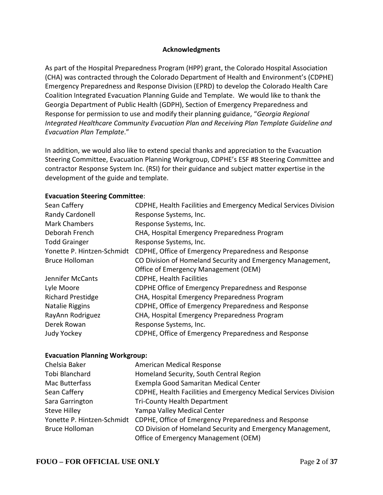#### **Acknowledgments**

As part of the Hospital Preparedness Program (HPP) grant, the Colorado Hospital Association (CHA) was contracted through the Colorado Department of Health and Environment's (CDPHE) Emergency Preparedness and Response Division (EPRD) to develop the Colorado Health Care Coalition Integrated Evacuation Planning Guide and Template. We would like to thank the Georgia Department of Public Health (GDPH), Section of Emergency Preparedness and Response for permission to use and modify their planning guidance, "*Georgia Regional Integrated Healthcare Community Evacuation Plan and Receiving Plan Template Guideline and Evacuation Plan Template*."

In addition, we would also like to extend special thanks and appreciation to the Evacuation Steering Committee, Evacuation Planning Workgroup, CDPHE's ESF #8 Steering Committee and contractor Response System Inc. (RSI) for their guidance and subject matter expertise in the development of the guide and template.

### **Evacuation Steering Committee**:

| Sean Caffery               | CDPHE, Health Facilities and Emergency Medical Services Division |
|----------------------------|------------------------------------------------------------------|
| Randy Cardonell            | Response Systems, Inc.                                           |
| <b>Mark Chambers</b>       | Response Systems, Inc.                                           |
| Deborah French             | CHA, Hospital Emergency Preparedness Program                     |
| <b>Todd Grainger</b>       | Response Systems, Inc.                                           |
| Yonette P. Hintzen-Schmidt | CDPHE, Office of Emergency Preparedness and Response             |
| <b>Bruce Holloman</b>      | CO Division of Homeland Security and Emergency Management,       |
|                            | Office of Emergency Management (OEM)                             |
| Jennifer McCants           | <b>CDPHE, Health Facilities</b>                                  |
| Lyle Moore                 | CDPHE Office of Emergency Preparedness and Response              |
| <b>Richard Prestidge</b>   | CHA, Hospital Emergency Preparedness Program                     |
| Natalie Riggins            | CDPHE, Office of Emergency Preparedness and Response             |
| RayAnn Rodriguez           | CHA, Hospital Emergency Preparedness Program                     |
| Derek Rowan                | Response Systems, Inc.                                           |
| <b>Judy Yockey</b>         | CDPHE, Office of Emergency Preparedness and Response             |

#### **Evacuation Planning Workgroup:**

| Chelsia Baker              | American Medical Response                                        |
|----------------------------|------------------------------------------------------------------|
| Tobi Blanchard             | Homeland Security, South Central Region                          |
| Mac Butterfass             | Exempla Good Samaritan Medical Center                            |
| Sean Caffery               | CDPHE, Health Facilities and Emergency Medical Services Division |
| Sara Garrington            | <b>Tri-County Health Department</b>                              |
| <b>Steve Hilley</b>        | Yampa Valley Medical Center                                      |
| Yonette P. Hintzen-Schmidt | CDPHE, Office of Emergency Preparedness and Response             |
| <b>Bruce Holloman</b>      | CO Division of Homeland Security and Emergency Management,       |
|                            | Office of Emergency Management (OEM)                             |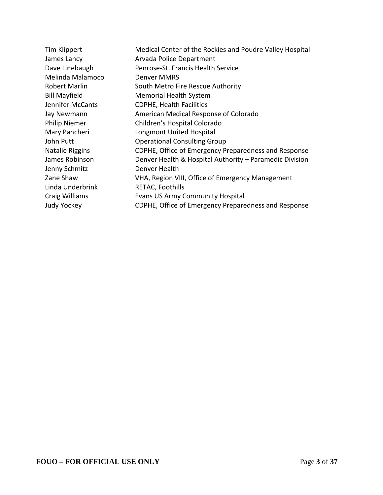| Tim Klippert         | Medical Center of the Rockies and Poudre Valley Hospital |
|----------------------|----------------------------------------------------------|
| James Lancy          | Arvada Police Department                                 |
| Dave Linebaugh       | Penrose-St. Francis Health Service                       |
| Melinda Malamoco     | Denver MMRS                                              |
| Robert Marlin        | South Metro Fire Rescue Authority                        |
| <b>Bill Mayfield</b> | <b>Memorial Health System</b>                            |
| Jennifer McCants     | <b>CDPHE, Health Facilities</b>                          |
| Jay Newmann          | American Medical Response of Colorado                    |
| <b>Philip Niemer</b> | Children's Hospital Colorado                             |
| Mary Pancheri        | Longmont United Hospital                                 |
| John Putt            | <b>Operational Consulting Group</b>                      |
| Natalie Riggins      | CDPHE, Office of Emergency Preparedness and Response     |
| James Robinson       | Denver Health & Hospital Authority - Paramedic Division  |
| Jenny Schmitz        | Denver Health                                            |
| Zane Shaw            | VHA, Region VIII, Office of Emergency Management         |
| Linda Underbrink     | RETAC, Foothills                                         |
| Craig Williams       | <b>Evans US Army Community Hospital</b>                  |
| <b>Judy Yockey</b>   | CDPHE, Office of Emergency Preparedness and Response     |
|                      |                                                          |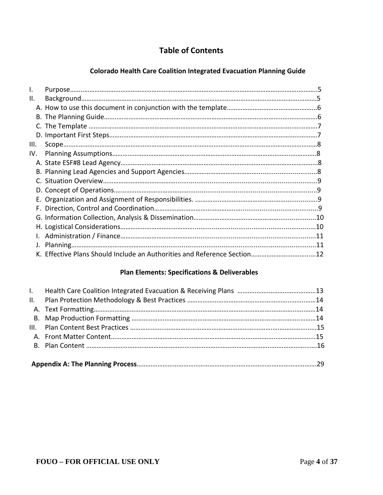# **Table of Contents**

## **Colorado Health Care Coalition Integrated Evacuation Planning Guide**

| I.   |                                                                          |  |
|------|--------------------------------------------------------------------------|--|
| Ш.   |                                                                          |  |
|      |                                                                          |  |
|      |                                                                          |  |
|      |                                                                          |  |
|      |                                                                          |  |
| III. |                                                                          |  |
| IV.  |                                                                          |  |
|      |                                                                          |  |
|      |                                                                          |  |
|      |                                                                          |  |
|      |                                                                          |  |
|      |                                                                          |  |
|      |                                                                          |  |
|      |                                                                          |  |
|      |                                                                          |  |
|      |                                                                          |  |
| J.   |                                                                          |  |
|      | K. Effective Plans Should Include an Authorities and Reference Section12 |  |

## **Plan Elements: Specifications & Deliverables**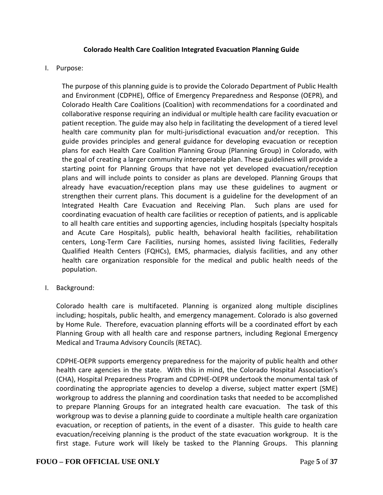#### **Colorado Health Care Coalition Integrated Evacuation Planning Guide**

#### I. Purpose:

The purpose of this planning guide is to provide the Colorado Department of Public Health and Environment (CDPHE), Office of Emergency Preparedness and Response (OEPR), and Colorado Health Care Coalitions (Coalition) with recommendations for a coordinated and collaborative response requiring an individual or multiple health care facility evacuation or patient reception. The guide may also help in facilitating the development of a tiered level health care community plan for multi-jurisdictional evacuation and/or reception. This guide provides principles and general guidance for developing evacuation or reception plans for each Health Care Coalition Planning Group (Planning Group) in Colorado, with the goal of creating a larger community interoperable plan. These guidelines will provide a starting point for Planning Groups that have not yet developed evacuation/reception plans and will include points to consider as plans are developed. Planning Groups that already have evacuation/reception plans may use these guidelines to augment or strengthen their current plans. This document is a guideline for the development of an Integrated Health Care Evacuation and Receiving Plan. Such plans are used for coordinating evacuation of health care facilities or reception of patients, and is applicable to all health care entities and supporting agencies, including hospitals (specialty hospitals and Acute Care Hospitals), public health, behavioral health facilities, rehabilitation centers, Long-Term Care Facilities, nursing homes, assisted living facilities, Federally Qualified Health Centers (FQHCs), EMS, pharmacies, dialysis facilities, and any other health care organization responsible for the medical and public health needs of the population.

I. Background:

Colorado health care is multifaceted. Planning is organized along multiple disciplines including; hospitals, public health, and emergency management. Colorado is also governed by Home Rule. Therefore, evacuation planning efforts will be a coordinated effort by each Planning Group with all health care and response partners, including Regional Emergency Medical and Trauma Advisory Councils (RETAC).

CDPHE-OEPR supports emergency preparedness for the majority of public health and other health care agencies in the state. With this in mind, the Colorado Hospital Association's (CHA), Hospital Preparedness Program and CDPHE-OEPR undertook the monumental task of coordinating the appropriate agencies to develop a diverse, subject matter expert (SME) workgroup to address the planning and coordination tasks that needed to be accomplished to prepare Planning Groups for an integrated health care evacuation. The task of this workgroup was to devise a planning guide to coordinate a multiple health care organization evacuation, or reception of patients, in the event of a disaster. This guide to health care evacuation/receiving planning is the product of the state evacuation workgroup. It is the first stage. Future work will likely be tasked to the Planning Groups. This planning

#### **FOUO – FOR OFFICIAL USE ONLY** Page **5** of **37**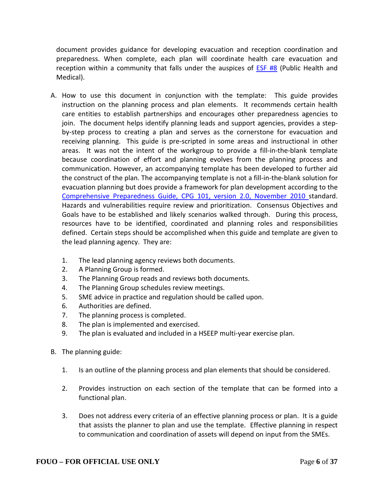document provides guidance for developing evacuation and reception coordination and preparedness. When complete, each plan will coordinate health care evacuation and reception within a community that falls under the auspices of [ESF #8](http://dhsem.state.co.us/sites/default/files/11%20ESF%208%20Public%20Health%20-%20Medical%20Services%20DONE.pdf) (Public Health and Medical).

- A. How to use this document in conjunction with the template: This guide provides instruction on the planning process and plan elements. It recommends certain health care entities to establish partnerships and encourages other preparedness agencies to join. The document helps identify planning leads and support agencies, provides a stepby-step process to creating a plan and serves as the cornerstone for evacuation and receiving planning. This guide is pre-scripted in some areas and instructional in other areas. It was not the intent of the workgroup to provide a fill-in-the-blank template because coordination of effort and planning evolves from the planning process and communication. However, an accompanying template has been developed to further aid the construct of the plan. The accompanying template is not a fill-in-the-blank solution for evacuation planning but does provide a framework for plan development according to the [Comprehensive Preparedness Guide, CPG 101, version 2.0, November 2010](http://www.fema.gov/pdf/about/divisions/npd/CPG_101_V2.pdf) standard. Hazards and vulnerabilities require review and prioritization. Consensus Objectives and Goals have to be established and likely scenarios walked through. During this process, resources have to be identified, coordinated and planning roles and responsibilities defined. Certain steps should be accomplished when this guide and template are given to the lead planning agency. They are:
	- 1. The lead planning agency reviews both documents.
	- 2. A Planning Group is formed.
	- 3. The Planning Group reads and reviews both documents.
	- 4. The Planning Group schedules review meetings.
	- 5. SME advice in practice and regulation should be called upon.
	- 6. Authorities are defined.
	- 7. The planning process is completed.
	- 8. The plan is implemented and exercised.
	- 9. The plan is evaluated and included in a HSEEP multi-year exercise plan.
- B. The planning guide:
	- 1. Is an outline of the planning process and plan elements that should be considered.
	- 2. Provides instruction on each section of the template that can be formed into a functional plan.
	- 3. Does not address every criteria of an effective planning process or plan. It is a guide that assists the planner to plan and use the template. Effective planning in respect to communication and coordination of assets will depend on input from the SMEs.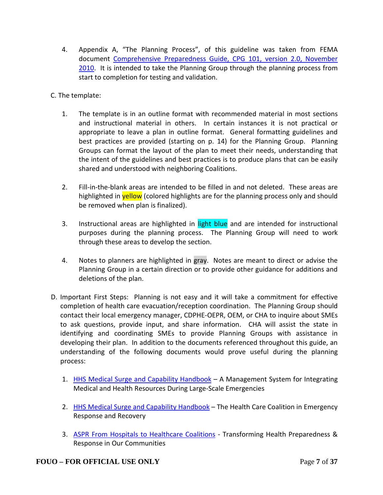- 4. Appendix A, "The Planning Process", of this guideline was taken from FEMA document [Comprehensive Preparedness Guide, CPG 101, version 2.0, November](http://www.fema.gov/pdf/about/divisions/npd/CPG_101_V2.pdf)  [2010.](http://www.fema.gov/pdf/about/divisions/npd/CPG_101_V2.pdf) It is intended to take the Planning Group through the planning process from start to completion for testing and validation.
- C. The template:
	- 1. The template is in an outline format with recommended material in most sections and instructional material in others. In certain instances it is not practical or appropriate to leave a plan in outline format. General formatting guidelines and best practices are provided (starting on p. 14) for the Planning Group. Planning Groups can format the layout of the plan to meet their needs, understanding that the intent of the guidelines and best practices is to produce plans that can be easily shared and understood with neighboring Coalitions.
	- 2. Fill-in-the-blank areas are intended to be filled in and not deleted. These areas are highlighted in **yellow** (colored highlights are for the planning process only and should be removed when plan is finalized).
	- 3. Instructional areas are highlighted in light blue and are intended for instructional purposes during the planning process. The Planning Group will need to work through these areas to develop the section.
	- 4. Notes to planners are highlighted in gray. Notes are meant to direct or advise the Planning Group in a certain direction or to provide other guidance for additions and deletions of the plan.
- D. Important First Steps: Planning is not easy and it will take a commitment for effective completion of health care evacuation/reception coordination. The Planning Group should contact their local emergency manager, CDPHE-OEPR, OEM, or CHA to inquire about SMEs to ask questions, provide input, and share information. CHA will assist the state in identifying and coordinating SMEs to provide Planning Groups with assistance in developing their plan. In addition to the documents referenced throughout this guide, an understanding of the following documents would prove useful during the planning process:
	- 1. [HHS Medical Surge and Capability Handbook](http://www.phe.gov/preparedness/planning/mscc/handbook/pages/default.aspx) A Management System for Integrating Medical and Health Resources During Large-Scale Emergencies
	- 2. [HHS Medical Surge and Capability Handbook](http://www.phe.gov/Preparedness/planning/mscc/healthcarecoalition/Pages/default.aspx) The Health Care Coalition in Emergency Response and Recovery
	- 3. [ASPR From Hospitals to Healthcare Coalitions](http://www.phe.gov/Preparedness/planning/hpp/Documents/hpp-healthcare-coalitions.pdf) Transforming Health Preparedness & Response in Our Communities

## **FOUO – FOR OFFICIAL USE ONLY** Page **7** of **37**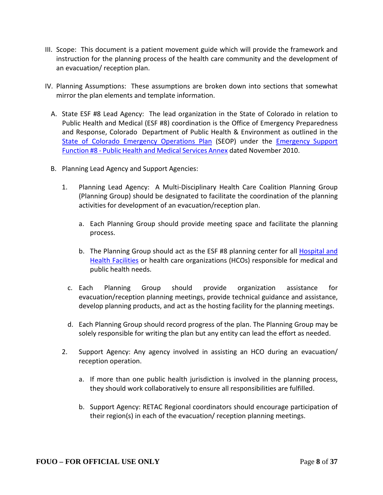- III. Scope: This document is a patient movement guide which will provide the framework and instruction for the planning process of the health care community and the development of an evacuation/ reception plan.
- IV. Planning Assumptions: These assumptions are broken down into sections that somewhat mirror the plan elements and template information.
	- A. State ESF #8 Lead Agency: The lead organization in the State of Colorado in relation to Public Health and Medical (ESF #8) coordination is the Office of Emergency Preparedness and Response, Colorado Department of Public Health & Environment as outlined in the [State of Colorado Emergency Operations Plan](http://dhsem.state.co.us/sites/default/files/00%20SEOP%20Consolidated.pdf) (SEOP) under the [Emergency](http://dhsem.state.co.us/sites/default/files/11%20ESF%208%20Public%20Health%20-%20Medical%20Services%20DONE.pdf) Support [Function](http://dhsem.state.co.us/sites/default/files/11%20ESF%208%20Public%20Health%20-%20Medical%20Services%20DONE.pdf) #8 - Public Health and Medical Services Annex dated November 2010.
	- B. Planning Lead Agency and Support Agencies:
		- 1. Planning Lead Agency: A Multi-Disciplinary Health Care Coalition Planning Group (Planning Group) should be designated to facilitate the coordination of the planning activities for development of an evacuation/reception plan.
			- a. Each Planning Group should provide meeting space and facilitate the planning process.
			- b. The Planning Group should act as the ESF #8 planning center for all [Hospital and](http://www.colorado.gov/cs/Satellite/CDPHE-HF/CBON/1251590411457)  [Health Facilities](http://www.colorado.gov/cs/Satellite/CDPHE-HF/CBON/1251590411457) or health care organizations (HCOs) responsible for medical and public health needs.
			- c. Each Planning Group should provide organization assistance for evacuation/reception planning meetings, provide technical guidance and assistance, develop planning products, and act as the hosting facility for the planning meetings.
			- d. Each Planning Group should record progress of the plan. The Planning Group may be solely responsible for writing the plan but any entity can lead the effort as needed.
		- 2. Support Agency: Any agency involved in assisting an HCO during an evacuation/ reception operation.
			- a. If more than one public health jurisdiction is involved in the planning process, they should work collaboratively to ensure all responsibilities are fulfilled.
			- b. Support Agency: RETAC Regional coordinators should encourage participation of their region(s) in each of the evacuation/ reception planning meetings.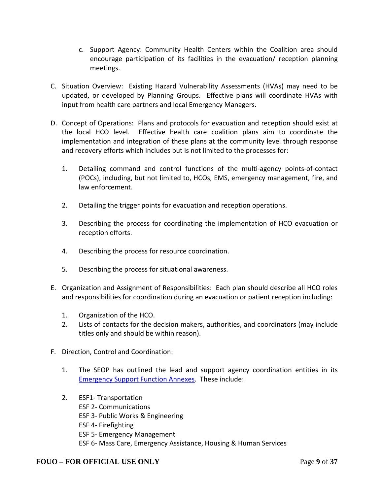- c. Support Agency: Community Health Centers within the Coalition area should encourage participation of its facilities in the evacuation/ reception planning meetings.
- C. Situation Overview: Existing Hazard Vulnerability Assessments (HVAs) may need to be updated, or developed by Planning Groups. Effective plans will coordinate HVAs with input from health care partners and local Emergency Managers.
- D. Concept of Operations: Plans and protocols for evacuation and reception should exist at the local HCO level. Effective health care coalition plans aim to coordinate the implementation and integration of these plans at the community level through response and recovery efforts which includes but is not limited to the processes for:
	- 1. Detailing command and control functions of the multi-agency points-of-contact (POCs), including, but not limited to, HCOs, EMS, emergency management, fire, and law enforcement.
	- 2. Detailing the trigger points for evacuation and reception operations.
	- 3. Describing the process for coordinating the implementation of HCO evacuation or reception efforts.
	- 4. Describing the process for resource coordination.
	- 5. Describing the process for situational awareness.
- E. Organization and Assignment of Responsibilities: Each plan should describe all HCO roles and responsibilities for coordination during an evacuation or patient reception including:
	- 1. Organization of the HCO.
	- 2. Lists of contacts for the decision makers, authorities, and coordinators (may include titles only and should be within reason).
- F. Direction, Control and Coordination:
	- 1. The SEOP has outlined the lead and support agency coordination entities in its [Emergency Support Function Annexes.](http://dhsem.state.co.us/emergency-management/operations/state-emergency-operations-plan) These include:
	- 2. ESF1- Transportation ESF 2- Communications ESF 3- Public Works & Engineering ESF 4- Firefighting ESF 5- Emergency Management ESF 6- Mass Care, Emergency Assistance, Housing & Human Services

## **FOUO – FOR OFFICIAL USE ONLY** Page **9** of **37**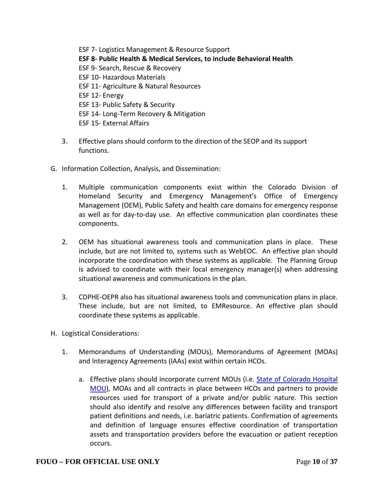ESF 7- Logistics Management & Resource Support **ESF 8- Public Health & Medical Services, to include Behavioral Health** ESF 9- Search, Rescue & Recovery ESF 10- Hazardous Materials ESF 11- Agriculture & Natural Resources ESF 12- Energy ESF 13- Public Safety & Security ESF 14- Long-Term Recovery & Mitigation ESF 15- External Affairs

- 3. Effective plans should conform to the direction of the SEOP and its support functions.
- G. Information Collection, Analysis, and Dissemination:
	- 1. Multiple communication components exist within the Colorado Division of Homeland Security and Emergency Management's Office of Emergency Management (OEM), Public Safety and health care domains for emergency response as well as for day-to-day use. An effective communication plan coordinates these components.
	- 2. OEM has situational awareness tools and communication plans in place. These include, but are not limited to, systems such as WebEOC. An effective plan should incorporate the coordination with these systems as applicable. The Planning Group is advised to coordinate with their local emergency manager(s) when addressing situational awareness and communications in the plan.
	- 3. CDPHE-OEPR also has situational awareness tools and communication plans in place. These include, but are not limited, to EMResource. An effective plan should coordinate these systems as applicable.
- H. Logistical Considerations:
	- 1. Memorandums of Understanding (MOUs), Memorandums of Agreement (MOAs) and Interagency Agreements (IAAs) exist within certain HCOs.
		- a. Effective plans should incorporate current MOUs (i.e. [State of Colorado Hospital](http://www.cha.com/pdfs/Prepardeness/Toolbox/MOU_final_2012.pdf)  [MOU\)](http://www.cha.com/pdfs/Prepardeness/Toolbox/MOU_final_2012.pdf), MOAs and all contracts in place between HCOs and partners to provide resources used for transport of a private and/or public nature. This section should also identify and resolve any differences between facility and transport patient definitions and needs, i.e. bariatric patients. Confirmation of agreements and definition of language ensures effective coordination of transportation assets and transportation providers before the evacuation or patient reception occurs.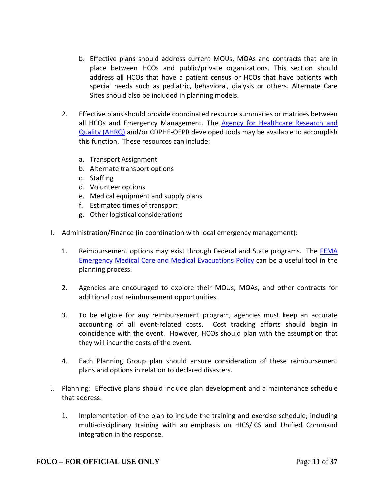- b. Effective plans should address current MOUs, MOAs and contracts that are in place between HCOs and public/private organizations. This section should address all HCOs that have a patient census or HCOs that have patients with special needs such as pediatric, behavioral, dialysis or others. Alternate Care Sites should also be included in planning models.
- 2. Effective plans should provide coordinated resource summaries or matrices between all HCOs and Emergency Management. The [Agency for Healthcare Research and](http://archive.ahrq.gov/prep/hospevacguide/)  [Quality \(AHRQ\)](http://archive.ahrq.gov/prep/hospevacguide/) and/or CDPHE-OEPR developed tools may be available to accomplish this function. These resources can include:
	- a. Transport Assignment
	- b. Alternate transport options
	- c. Staffing
	- d. Volunteer options
	- e. Medical equipment and supply plans
	- f. Estimated times of transport
	- g. Other logistical considerations
- I. Administration/Finance (in coordination with local emergency management):
	- 1. Reimbursement options may exist through Federal and State programs. The [FEMA](http://www.fema.gov/9500-series-policy-publications/95254-emergency-medical-care-medical-evacuations)  [Emergency Medical Care and Medical Evacuations Policy](http://www.fema.gov/9500-series-policy-publications/95254-emergency-medical-care-medical-evacuations) can be a useful tool in the planning process.
	- 2. Agencies are encouraged to explore their MOUs, MOAs, and other contracts for additional cost reimbursement opportunities.
	- 3. To be eligible for any reimbursement program, agencies must keep an accurate accounting of all event-related costs. Cost tracking efforts should begin in coincidence with the event. However, HCOs should plan with the assumption that they will incur the costs of the event.
	- 4. Each Planning Group plan should ensure consideration of these reimbursement plans and options in relation to declared disasters.
- J. Planning: Effective plans should include plan development and a maintenance schedule that address:
	- 1. Implementation of the plan to include the training and exercise schedule; including multi-disciplinary training with an emphasis on HICS/ICS and Unified Command integration in the response.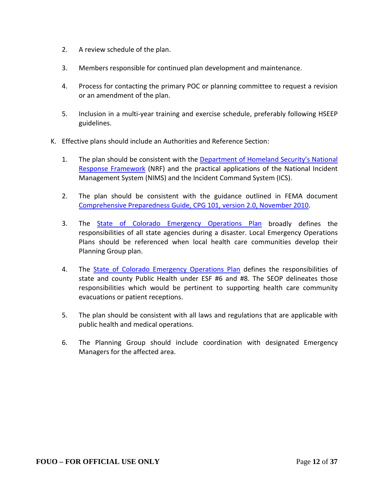- 2. A review schedule of the plan.
- 3. Members responsible for continued plan development and maintenance.
- 4. Process for contacting the primary POC or planning committee to request a revision or an amendment of the plan.
- 5. Inclusion in a multi-year training and exercise schedule, preferably following HSEEP guidelines.
- K. Effective plans should include an Authorities and Reference Section:
	- 1. The plan should be consistent with the [Department of Homeland Security's National](http://www.fema.gov/media-library-data/20130726-1914-25045-1246/final_national_response_framework_20130501.pdf)  [Response Framework](http://www.fema.gov/media-library-data/20130726-1914-25045-1246/final_national_response_framework_20130501.pdf) (NRF) and the practical applications of the National Incident Management System (NIMS) and the Incident Command System (ICS).
	- 2. The plan should be consistent with the guidance outlined in FEMA document [Comprehensive Preparedness Guide, CPG 101, version 2.0, November 2010.](http://www.fema.gov/pdf/about/divisions/npd/CPG_101_V2.pdf)
	- 3. The [State of Colorado Emergency Operations Plan](http://dhsem.state.co.us/sites/default/files/00%20SEOP%20Consolidated.pdf) broadly defines the responsibilities of all state agencies during a disaster. Local Emergency Operations Plans should be referenced when local health care communities develop their Planning Group plan.
	- 4. The [State of Colorado Emergency Operations Plan](http://dhsem.state.co.us/sites/default/files/00%20SEOP%20Consolidated.pdf) defines the responsibilities of state and county Public Health under ESF #6 and #8. The SEOP delineates those responsibilities which would be pertinent to supporting health care community evacuations or patient receptions.
	- 5. The plan should be consistent with all laws and regulations that are applicable with public health and medical operations.
	- 6. The Planning Group should include coordination with designated Emergency Managers for the affected area.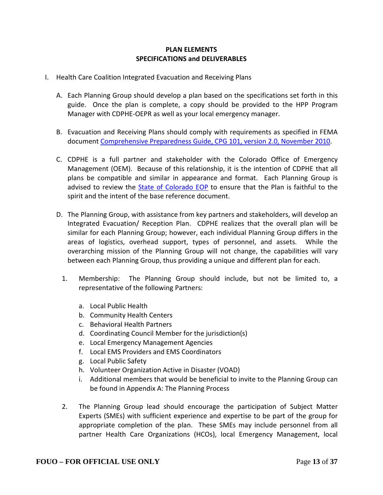### **PLAN ELEMENTS SPECIFICATIONS and DELIVERABLES**

- I. Health Care Coalition Integrated Evacuation and Receiving Plans
	- A. Each Planning Group should develop a plan based on the specifications set forth in this guide. Once the plan is complete, a copy should be provided to the HPP Program Manager with CDPHE-OEPR as well as your local emergency manager.
	- B. Evacuation and Receiving Plans should comply with requirements as specified in FEMA document [Comprehensive Preparedness Guide, CPG 101, version 2.0, November 2010.](http://www.fema.gov/pdf/about/divisions/npd/CPG_101_V2.pdf)
	- C. CDPHE is a full partner and stakeholder with the Colorado Office of Emergency Management (OEM). Because of this relationship, it is the intention of CDPHE that all plans be compatible and similar in appearance and format. Each Planning Group is advised to review the **State of Colorado EOP** to ensure that the Plan is faithful to the spirit and the intent of the base reference document.
	- D. The Planning Group, with assistance from key partners and stakeholders, will develop an Integrated Evacuation/ Reception Plan. CDPHE realizes that the overall plan will be similar for each Planning Group; however, each individual Planning Group differs in the areas of logistics, overhead support, types of personnel, and assets. While the overarching mission of the Planning Group will not change, the capabilities will vary between each Planning Group, thus providing a unique and different plan for each.
		- 1. Membership: The Planning Group should include, but not be limited to, a representative of the following Partners:
			- a. Local Public Health
			- b. Community Health Centers
			- c. Behavioral Health Partners
			- d. Coordinating Council Member for the jurisdiction(s)
			- e. Local Emergency Management Agencies
			- f. Local EMS Providers and EMS Coordinators
			- g. Local Public Safety
			- h. Volunteer Organization Active in Disaster (VOAD)
			- i. Additional members that would be beneficial to invite to the Planning Group can be found in Appendix A: The Planning Process
		- 2. The Planning Group lead should encourage the participation of Subject Matter Experts (SMEs) with sufficient experience and expertise to be part of the group for appropriate completion of the plan. These SMEs may include personnel from all partner Health Care Organizations (HCOs), local Emergency Management, local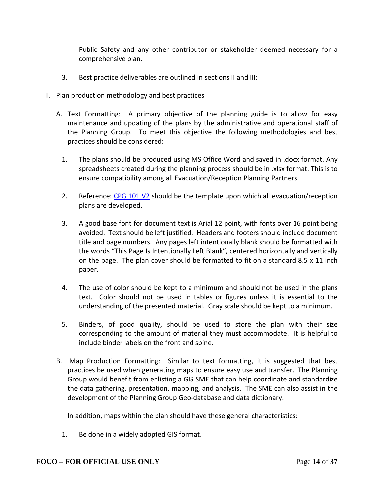Public Safety and any other contributor or stakeholder deemed necessary for a comprehensive plan.

- 3. Best practice deliverables are outlined in sections II and III:
- II. Plan production methodology and best practices
	- A. Text Formatting: A primary objective of the planning guide is to allow for easy maintenance and updating of the plans by the administrative and operational staff of the Planning Group. To meet this objective the following methodologies and best practices should be considered:
		- 1. The plans should be produced using MS Office Word and saved in .docx format. Any spreadsheets created during the planning process should be in .xlsx format. This is to ensure compatibility among all Evacuation/Reception Planning Partners.
		- 2. Reference: [CPG 101 V2](http://www.fema.gov/pdf/about/divisions/npd/CPG_101_V2.pdf) should be the template upon which all evacuation/reception plans are developed.
		- 3. A good base font for document text is Arial 12 point, with fonts over 16 point being avoided. Text should be left justified. Headers and footers should include document title and page numbers. Any pages left intentionally blank should be formatted with the words "This Page Is Intentionally Left Blank", centered horizontally and vertically on the page. The plan cover should be formatted to fit on a standard 8.5 x 11 inch paper.
		- 4. The use of color should be kept to a minimum and should not be used in the plans text. Color should not be used in tables or figures unless it is essential to the understanding of the presented material. Gray scale should be kept to a minimum.
		- 5. Binders, of good quality, should be used to store the plan with their size corresponding to the amount of material they must accommodate. It is helpful to include binder labels on the front and spine.
	- B. Map Production Formatting: Similar to text formatting, it is suggested that best practices be used when generating maps to ensure easy use and transfer. The Planning Group would benefit from enlisting a GIS SME that can help coordinate and standardize the data gathering, presentation, mapping, and analysis. The SME can also assist in the development of the Planning Group Geo-database and data dictionary.

In addition, maps within the plan should have these general characteristics:

1. Be done in a widely adopted GIS format.

#### **FOUO – FOR OFFICIAL USE ONLY** Page **14** of **37**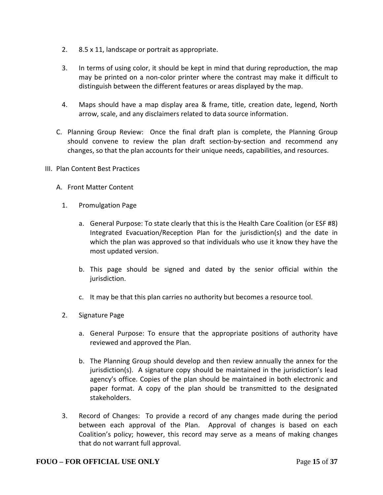- 2. 8.5 x 11, landscape or portrait as appropriate.
- 3. In terms of using color, it should be kept in mind that during reproduction, the map may be printed on a non-color printer where the contrast may make it difficult to distinguish between the different features or areas displayed by the map.
- 4. Maps should have a map display area & frame, title, creation date, legend, North arrow, scale, and any disclaimers related to data source information.
- C. Planning Group Review: Once the final draft plan is complete, the Planning Group should convene to review the plan draft section-by-section and recommend any changes, so that the plan accounts for their unique needs, capabilities, and resources.
- III. Plan Content Best Practices
	- A. Front Matter Content
		- 1. Promulgation Page
			- a. General Purpose: To state clearly that this is the Health Care Coalition (or ESF #8) Integrated Evacuation/Reception Plan for the jurisdiction(s) and the date in which the plan was approved so that individuals who use it know they have the most updated version.
			- b. This page should be signed and dated by the senior official within the jurisdiction.
			- c. It may be that this plan carries no authority but becomes a resource tool.
		- 2. Signature Page
			- a. General Purpose: To ensure that the appropriate positions of authority have reviewed and approved the Plan.
			- b. The Planning Group should develop and then review annually the annex for the jurisdiction(s). A signature copy should be maintained in the jurisdiction's lead agency's office. Copies of the plan should be maintained in both electronic and paper format. A copy of the plan should be transmitted to the designated stakeholders.
		- 3. Record of Changes: To provide a record of any changes made during the period between each approval of the Plan. Approval of changes is based on each Coalition's policy; however, this record may serve as a means of making changes that do not warrant full approval.

#### **FOUO – FOR OFFICIAL USE ONLY** Page **15** of **37**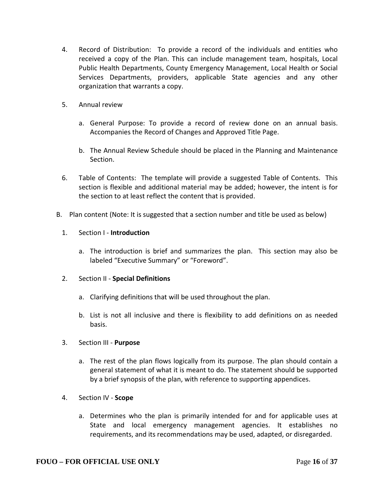- 4. Record of Distribution: To provide a record of the individuals and entities who received a copy of the Plan. This can include management team, hospitals, Local Public Health Departments, County Emergency Management, Local Health or Social Services Departments, providers, applicable State agencies and any other organization that warrants a copy.
- 5. Annual review
	- a. General Purpose: To provide a record of review done on an annual basis. Accompanies the Record of Changes and Approved Title Page.
	- b. The Annual Review Schedule should be placed in the Planning and Maintenance Section.
- 6. Table of Contents: The template will provide a suggested Table of Contents. This section is flexible and additional material may be added; however, the intent is for the section to at least reflect the content that is provided.
- B. Plan content (Note: It is suggested that a section number and title be used as below)
	- 1. Section I **Introduction**
		- a. The introduction is brief and summarizes the plan. This section may also be labeled "Executive Summary" or "Foreword".
	- 2. Section II **Special Definitions**
		- a. Clarifying definitions that will be used throughout the plan.
		- b. List is not all inclusive and there is flexibility to add definitions on as needed basis.
	- 3. Section III **Purpose**
		- a. The rest of the plan flows logically from its purpose. The plan should contain a general statement of what it is meant to do. The statement should be supported by a brief synopsis of the plan, with reference to supporting appendices.
	- 4. Section IV **Scope**
		- a. Determines who the plan is primarily intended for and for applicable uses at State and local emergency management agencies. It establishes no requirements, and its recommendations may be used, adapted, or disregarded.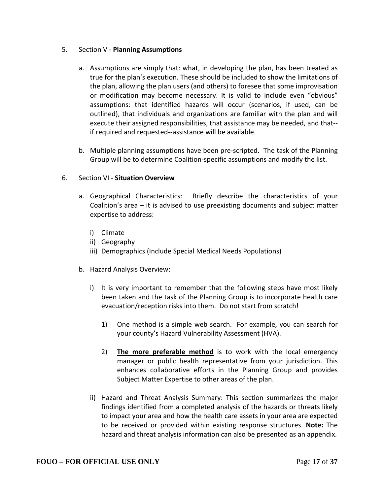## 5. Section V - **Planning Assumptions**

- a. Assumptions are simply that: what, in developing the plan, has been treated as true for the plan's execution. These should be included to show the limitations of the plan, allowing the plan users (and others) to foresee that some improvisation or modification may become necessary. It is valid to include even "obvious" assumptions: that identified hazards will occur (scenarios, if used, can be outlined), that individuals and organizations are familiar with the plan and will execute their assigned responsibilities, that assistance may be needed, and that- if required and requested--assistance will be available.
- b. Multiple planning assumptions have been pre-scripted. The task of the Planning Group will be to determine Coalition-specific assumptions and modify the list.

#### 6. Section VI - **Situation Overview**

- a. Geographical Characteristics: Briefly describe the characteristics of your Coalition's area – it is advised to use preexisting documents and subject matter expertise to address:
	- i) Climate
	- ii) Geography
	- iii) Demographics (Include Special Medical Needs Populations)
- b. Hazard Analysis Overview:
	- i) It is very important to remember that the following steps have most likely been taken and the task of the Planning Group is to incorporate health care evacuation/reception risks into them. Do not start from scratch!
		- 1) One method is a simple web search. For example, you can search for your county's Hazard Vulnerability Assessment (HVA).
		- 2) **The more preferable method** is to work with the local emergency manager or public health representative from your jurisdiction. This enhances collaborative efforts in the Planning Group and provides Subject Matter Expertise to other areas of the plan.
	- ii) Hazard and Threat Analysis Summary: This section summarizes the major findings identified from a completed analysis of the hazards or threats likely to impact your area and how the health care assets in your area are expected to be received or provided within existing response structures. **Note:** The hazard and threat analysis information can also be presented as an appendix.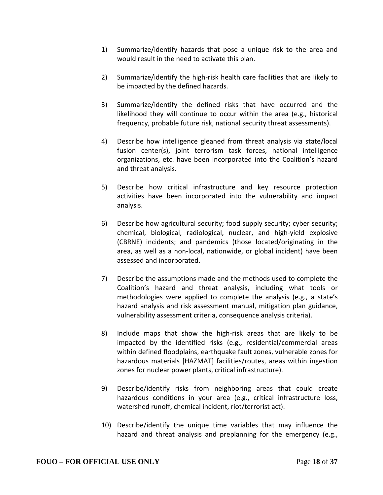- 1) Summarize/identify hazards that pose a unique risk to the area and would result in the need to activate this plan.
- 2) Summarize/identify the high-risk health care facilities that are likely to be impacted by the defined hazards.
- 3) Summarize/identify the defined risks that have occurred and the likelihood they will continue to occur within the area (e.g., historical frequency, probable future risk, national security threat assessments).
- 4) Describe how intelligence gleaned from threat analysis via state/local fusion center(s), joint terrorism task forces, national intelligence organizations, etc. have been incorporated into the Coalition's hazard and threat analysis.
- 5) Describe how critical infrastructure and key resource protection activities have been incorporated into the vulnerability and impact analysis.
- 6) Describe how agricultural security; food supply security; cyber security; chemical, biological, radiological, nuclear, and high-yield explosive (CBRNE) incidents; and pandemics (those located/originating in the area, as well as a non-local, nationwide, or global incident) have been assessed and incorporated.
- 7) Describe the assumptions made and the methods used to complete the Coalition's hazard and threat analysis, including what tools or methodologies were applied to complete the analysis (e.g., a state's hazard analysis and risk assessment manual, mitigation plan guidance, vulnerability assessment criteria, consequence analysis criteria).
- 8) Include maps that show the high-risk areas that are likely to be impacted by the identified risks (e.g., residential/commercial areas within defined floodplains, earthquake fault zones, vulnerable zones for hazardous materials [HAZMAT] facilities/routes, areas within ingestion zones for nuclear power plants, critical infrastructure).
- 9) Describe/identify risks from neighboring areas that could create hazardous conditions in your area (e.g., critical infrastructure loss, watershed runoff, chemical incident, riot/terrorist act).
- 10) Describe/identify the unique time variables that may influence the hazard and threat analysis and preplanning for the emergency (e.g.,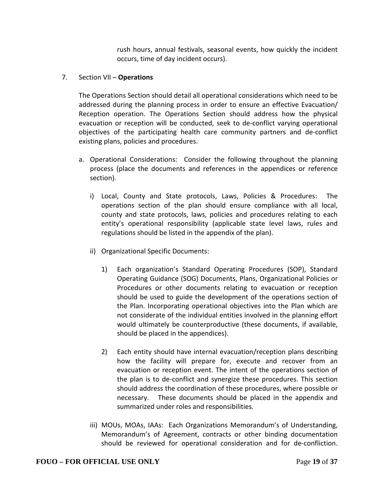rush hours, annual festivals, seasonal events, how quickly the incident occurs, time of day incident occurs).

### 7. Section VII – **Operations**

The Operations Section should detail all operational considerations which need to be addressed during the planning process in order to ensure an effective Evacuation/ Reception operation. The Operations Section should address how the physical evacuation or reception will be conducted, seek to de-conflict varying operational objectives of the participating health care community partners and de-conflict existing plans, policies and procedures.

- a. Operational Considerations: Consider the following throughout the planning process (place the documents and references in the appendices or reference section).
	- i) Local, County and State protocols, Laws, Policies & Procedures: The operations section of the plan should ensure compliance with all local, county and state protocols, laws, policies and procedures relating to each entity's operational responsibility (applicable state level laws, rules and regulations should be listed in the appendix of the plan).
	- ii) Organizational Specific Documents:
		- 1) Each organization's Standard Operating Procedures (SOP), Standard Operating Guidance (SOG) Documents, Plans, Organizational Policies or Procedures or other documents relating to evacuation or reception should be used to guide the development of the operations section of the Plan. Incorporating operational objectives into the Plan which are not considerate of the individual entities involved in the planning effort would ultimately be counterproductive (these documents, if available, should be placed in the appendices).
		- 2) Each entity should have internal evacuation/reception plans describing how the facility will prepare for, execute and recover from an evacuation or reception event. The intent of the operations section of the plan is to de-conflict and synergize these procedures. This section should address the coordination of these procedures, where possible or necessary. These documents should be placed in the appendix and summarized under roles and responsibilities*.*
	- iii) MOUs, MOAs, IAAs: Each Organizations Memorandum's of Understanding, Memorandum's of Agreement, contracts or other binding documentation should be reviewed for operational consideration and for de-confliction.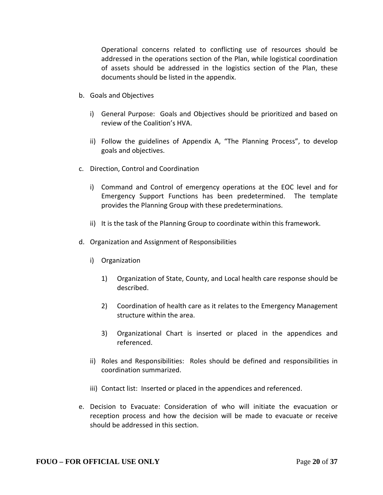Operational concerns related to conflicting use of resources should be addressed in the operations section of the Plan, while logistical coordination of assets should be addressed in the logistics section of the Plan, these documents should be listed in the appendix.

- b. Goals and Objectives
	- i) General Purpose: Goals and Objectives should be prioritized and based on review of the Coalition's HVA.
	- ii) Follow the guidelines of Appendix A, "The Planning Process", to develop goals and objectives.
- c. Direction, Control and Coordination
	- i) Command and Control of emergency operations at the EOC level and for Emergency Support Functions has been predetermined. The template provides the Planning Group with these predeterminations.
	- ii) It is the task of the Planning Group to coordinate within this framework.
- d. Organization and Assignment of Responsibilities
	- i) Organization
		- 1) Organization of State, County, and Local health care response should be described.
		- 2) Coordination of health care as it relates to the Emergency Management structure within the area.
		- 3) Organizational Chart is inserted or placed in the appendices and referenced.
	- ii) Roles and Responsibilities: Roles should be defined and responsibilities in coordination summarized.
	- iii) Contact list: Inserted or placed in the appendices and referenced.
- e. Decision to Evacuate: Consideration of who will initiate the evacuation or reception process and how the decision will be made to evacuate or receive should be addressed in this section.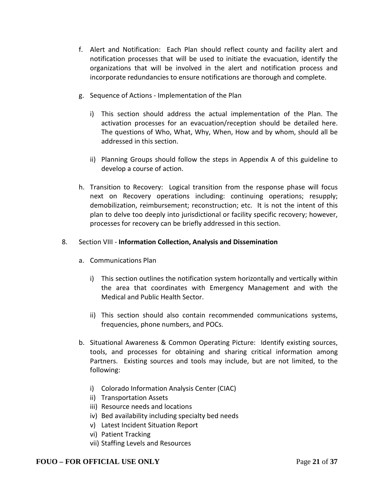- f. Alert and Notification: Each Plan should reflect county and facility alert and notification processes that will be used to initiate the evacuation, identify the organizations that will be involved in the alert and notification process and incorporate redundancies to ensure notifications are thorough and complete.
- g. Sequence of Actions Implementation of the Plan
	- i) This section should address the actual implementation of the Plan. The activation processes for an evacuation/reception should be detailed here. The questions of Who, What, Why, When, How and by whom, should all be addressed in this section.
	- ii) Planning Groups should follow the steps in Appendix A of this guideline to develop a course of action.
- h. Transition to Recovery: Logical transition from the response phase will focus next on Recovery operations including: continuing operations; resupply; demobilization, reimbursement; reconstruction; etc. It is not the intent of this plan to delve too deeply into jurisdictional or facility specific recovery; however, processes for recovery can be briefly addressed in this section.

#### 8. Section VIII - **Information Collection, Analysis and Dissemination**

- a. Communications Plan
	- i) This section outlines the notification system horizontally and vertically within the area that coordinates with Emergency Management and with the Medical and Public Health Sector.
	- ii) This section should also contain recommended communications systems, frequencies, phone numbers, and POCs.
- b. Situational Awareness & Common Operating Picture: Identify existing sources, tools, and processes for obtaining and sharing critical information among Partners. Existing sources and tools may include, but are not limited, to the following:
	- i) Colorado Information Analysis Center (CIAC)
	- ii) Transportation Assets
	- iii) Resource needs and locations
	- iv) Bed availability including specialty bed needs
	- v) Latest Incident Situation Report
	- vi) Patient Tracking
	- vii) Staffing Levels and Resources

#### **FOUO – FOR OFFICIAL USE ONLY** Page **21** of **37**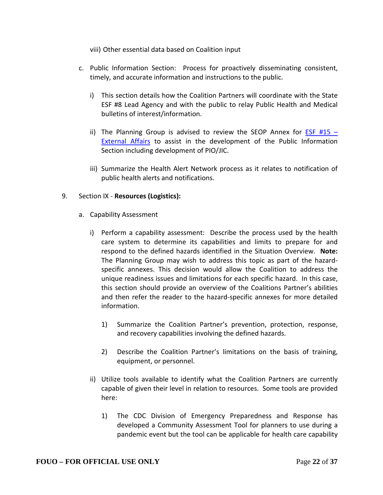viii) Other essential data based on Coalition input

- c. Public Information Section: Process for proactively disseminating consistent, timely, and accurate information and instructions to the public.
	- i) This section details how the Coalition Partners will coordinate with the State ESF #8 Lead Agency and with the public to relay Public Health and Medical bulletins of interest/information.
	- ii) The Planning Group is advised to review the SEOP Annex for  $ESF H15 -$ [External Affairs](http://dhsem.state.co.us/sites/default/files/20%20ESF%2015%20External%20Affairs.pdf) to assist in the development of the Public Information Section including development of PIO/JIC.
	- iii) Summarize the Health Alert Network process as it relates to notification of public health alerts and notifications.

#### 9. Section IX - **Resources (Logistics):**

- a. Capability Assessment
	- i) Perform a capability assessment: Describe the process used by the health care system to determine its capabilities and limits to prepare for and respond to the defined hazards identified in the Situation Overview. **Note:** The Planning Group may wish to address this topic as part of the hazardspecific annexes. This decision would allow the Coalition to address the unique readiness issues and limitations for each specific hazard. In this case, this section should provide an overview of the Coalitions Partner's abilities and then refer the reader to the hazard-specific annexes for more detailed information.
		- 1) Summarize the Coalition Partner's prevention, protection, response, and recovery capabilities involving the defined hazards.
		- 2) Describe the Coalition Partner's limitations on the basis of training, equipment, or personnel.
	- ii) Utilize tools available to identify what the Coalition Partners are currently capable of given their level in relation to resources. Some tools are provided here:
		- 1) The CDC Division of Emergency Preparedness and Response has developed a Community Assessment Tool for planners to use during a pandemic event but the tool can be applicable for health care capability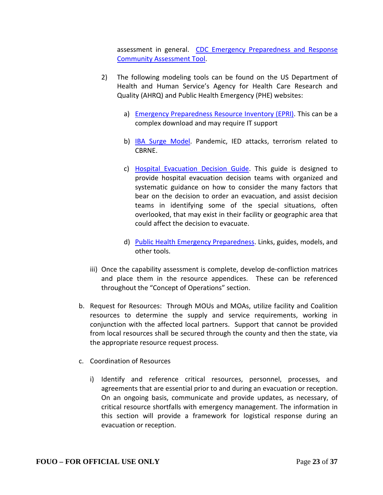assessment in general. [CDC Emergency Preparedness and Response](http://www.cdc.gov/phpr/healthcare/documents/CAT_CDC.docx)  [Community Assessment Tool.](http://www.cdc.gov/phpr/healthcare/documents/CAT_CDC.docx)

- 2) The following modeling tools can be found on the US Department of Health and Human Service's Agency for Health Care Research and Quality (AHRQ) and Public Health Emergency (PHE) websites:
	- a) [Emergency Preparedness Resource Inventory \(EPRI\).](http://www.ahrq.gov/research/epri) This can be a complex download and may require IT support
	- b) IBA [Surge Model.](http://www.phe.gov/coi/Documents/PERCC%20Presentation%20May%208%202013%20Hunt.pdf) Pandemic, IED attacks, terrorism related to CBRNE.
	- c) [Hospital Evacuation Decision Guide.](http://archive.ahrq.gov/prep/hospevacguide/) This guide is designed to provide hospital evacuation decision teams with organized and systematic guidance on how to consider the many factors that bear on the decision to order an evacuation, and assist decision teams in identifying some of the special situations, often overlooked, that may exist in their facility or geographic area that could affect the decision to evacuate.
	- d) [Public Health Emergency Preparedness.](http://archive.ahrq.gov/prep) Links, guides, models, and other tools.
- iii) Once the capability assessment is complete, develop de-confliction matrices and place them in the resource appendices. These can be referenced throughout the "Concept of Operations" section.
- b. Request for Resources: Through MOUs and MOAs, utilize facility and Coalition resources to determine the supply and service requirements, working in conjunction with the affected local partners. Support that cannot be provided from local resources shall be secured through the county and then the state, via the appropriate resource request process.
- c. Coordination of Resources
	- i) Identify and reference critical resources, personnel, processes, and agreements that are essential prior to and during an evacuation or reception. On an ongoing basis, communicate and provide updates, as necessary, of critical resource shortfalls with emergency management. The information in this section will provide a framework for logistical response during an evacuation or reception.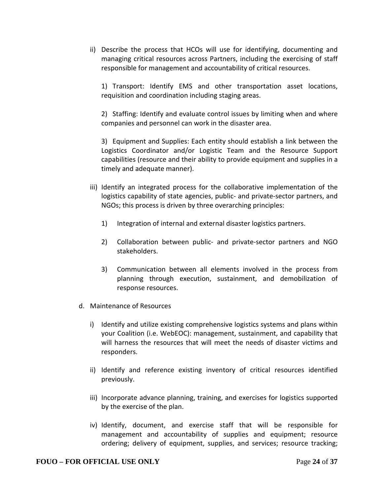ii) Describe the process that HCOs will use for identifying, documenting and managing critical resources across Partners, including the exercising of staff responsible for management and accountability of critical resources.

1) Transport: Identify EMS and other transportation asset locations, requisition and coordination including staging areas.

2) Staffing: Identify and evaluate control issues by limiting when and where companies and personnel can work in the disaster area.

3) Equipment and Supplies: Each entity should establish a link between the Logistics Coordinator and/or Logistic Team and the Resource Support capabilities (resource and their ability to provide equipment and supplies in a timely and adequate manner).

- iii) Identify an integrated process for the collaborative implementation of the logistics capability of state agencies, public- and private-sector partners, and NGOs; this process is driven by three overarching principles:
	- 1) Integration of internal and external disaster logistics partners.
	- 2) Collaboration between public- and private-sector partners and NGO stakeholders.
	- 3) Communication between all elements involved in the process from planning through execution, sustainment, and demobilization of response resources.
- d. Maintenance of Resources
	- i) Identify and utilize existing comprehensive logistics systems and plans within your Coalition (i.e. WebEOC): management, sustainment, and capability that will harness the resources that will meet the needs of disaster victims and responders.
	- ii) Identify and reference existing inventory of critical resources identified previously.
	- iii) Incorporate advance planning, training, and exercises for logistics supported by the exercise of the plan.
	- iv) Identify, document, and exercise staff that will be responsible for management and accountability of supplies and equipment; resource ordering; delivery of equipment, supplies, and services; resource tracking;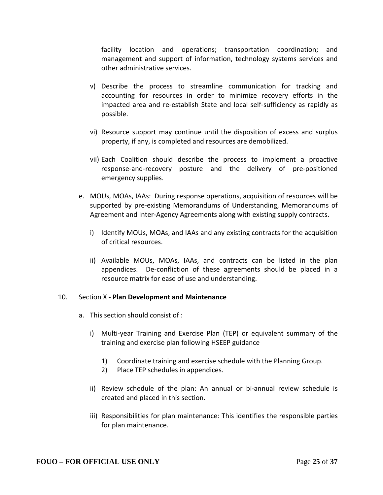facility location and operations; transportation coordination; and management and support of information, technology systems services and other administrative services.

- v) Describe the process to streamline communication for tracking and accounting for resources in order to minimize recovery efforts in the impacted area and re-establish State and local self-sufficiency as rapidly as possible.
- vi) Resource support may continue until the disposition of excess and surplus property, if any, is completed and resources are demobilized.
- vii) Each Coalition should describe the process to implement a proactive response-and-recovery posture and the delivery of pre-positioned emergency supplies.
- e. MOUs, MOAs, IAAs: During response operations, acquisition of resources will be supported by pre-existing Memorandums of Understanding, Memorandums of Agreement and Inter-Agency Agreements along with existing supply contracts.
	- i) Identify MOUs, MOAs, and IAAs and any existing contracts for the acquisition of critical resources.
	- ii) Available MOUs, MOAs, IAAs, and contracts can be listed in the plan appendices. De-confliction of these agreements should be placed in a resource matrix for ease of use and understanding.

#### 10. Section X - **Plan Development and Maintenance**

- a. This section should consist of :
	- i) Multi-year Training and Exercise Plan (TEP) or equivalent summary of the training and exercise plan following HSEEP guidance
		- 1) Coordinate training and exercise schedule with the Planning Group.
		- 2) Place TEP schedules in appendices.
	- ii) Review schedule of the plan: An annual or bi-annual review schedule is created and placed in this section.
	- iii) Responsibilities for plan maintenance: This identifies the responsible parties for plan maintenance.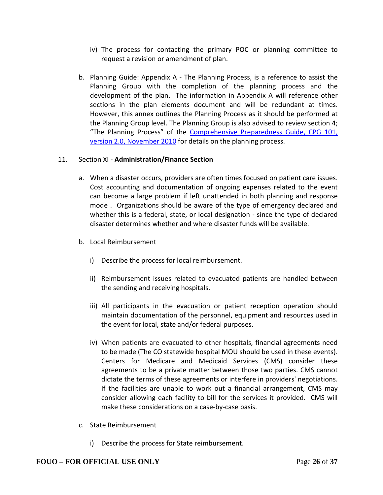- iv) The process for contacting the primary POC or planning committee to request a revision or amendment of plan.
- b. Planning Guide: Appendix A The Planning Process, is a reference to assist the Planning Group with the completion of the planning process and the development of the plan. The information in Appendix A will reference other sections in the plan elements document and will be redundant at times. However, this annex outlines the Planning Process as it should be performed at the Planning Group level. The Planning Group is also advised to review section 4; "The Planning Process" of the Comprehensive Preparedness Guide, CPG 101, [version 2.0, November 2010](http://www.fema.gov/pdf/about/divisions/npd/CPG_101_V2.pdf) for details on the planning process.

### 11. Section XI - **Administration/Finance Section**

- a. When a disaster occurs, providers are often times focused on patient care issues. Cost accounting and documentation of ongoing expenses related to the event can become a large problem if left unattended in both planning and response mode . Organizations should be aware of the type of emergency declared and whether this is a federal, state, or local designation - since the type of declared disaster determines whether and where disaster funds will be available.
- b. Local Reimbursement
	- i) Describe the process for local reimbursement.
	- ii) Reimbursement issues related to evacuated patients are handled between the sending and receiving hospitals.
	- iii) All participants in the evacuation or patient reception operation should maintain documentation of the personnel, equipment and resources used in the event for local, state and/or federal purposes.
	- iv) When patients are evacuated to other hospitals, financial agreements need to be made (The CO statewide hospital MOU should be used in these events). Centers for Medicare and Medicaid Services (CMS) consider these agreements to be a private matter between those two parties. CMS cannot dictate the terms of these agreements or interfere in providers' negotiations. If the facilities are unable to work out a financial arrangement, CMS may consider allowing each facility to bill for the services it provided. CMS will make these considerations on a case-by-case basis.
- c. State Reimbursement
	- i) Describe the process for State reimbursement.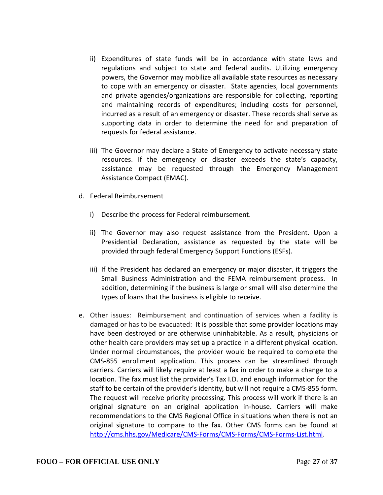- ii) Expenditures of state funds will be in accordance with state laws and regulations and subject to state and federal audits. Utilizing emergency powers, the Governor may mobilize all available state resources as necessary to cope with an emergency or disaster. State agencies, local governments and private agencies/organizations are responsible for collecting, reporting and maintaining records of expenditures; including costs for personnel, incurred as a result of an emergency or disaster. These records shall serve as supporting data in order to determine the need for and preparation of requests for federal assistance.
- iii) The Governor may declare a State of Emergency to activate necessary state resources. If the emergency or disaster exceeds the state's capacity, assistance may be requested through the Emergency Management Assistance Compact (EMAC).
- d. Federal Reimbursement
	- i) Describe the process for Federal reimbursement.
	- ii) The Governor may also request assistance from the President. Upon a Presidential Declaration, assistance as requested by the state will be provided through federal Emergency Support Functions (ESFs).
	- iii) If the President has declared an emergency or major disaster, it triggers the Small Business Administration and the FEMA reimbursement process. In addition, determining if the business is large or small will also determine the types of loans that the business is eligible to receive.
- e. Other issues: Reimbursement and continuation of services when a facility is damaged or has to be evacuated: It is possible that some provider locations may have been destroyed or are otherwise uninhabitable. As a result, physicians or other health care providers may set up a practice in a different physical location. Under normal circumstances, the provider would be required to complete the CMS-855 enrollment application. This process can be streamlined through carriers. Carriers will likely require at least a fax in order to make a change to a location. The fax must list the provider's Tax I.D. and enough information for the staff to be certain of the provider's identity, but will not require a CMS-855 form. The request will receive priority processing. This process will work if there is an original signature on an original application in-house. Carriers will make recommendations to the CMS Regional Office in situations when there is not an original signature to compare to the fax. Other CMS forms can be found at [http://cms.hhs.gov/Medicare/CMS-Forms/CMS-Forms/CMS-Forms-List.html.](http://cms.hhs.gov/Medicare/CMS-Forms/CMS-Forms/CMS-Forms-List.html)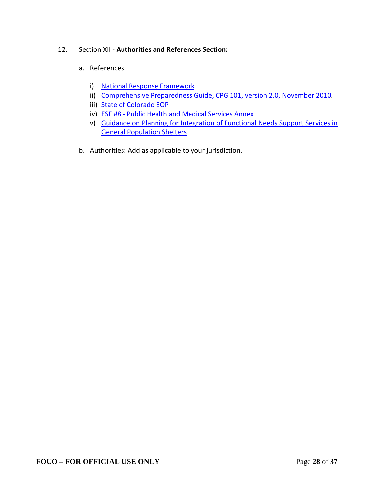### 12. Section XII - **Authorities and References Section:**

### a. References

- i) [National Response Framework](http://www.fema.gov/media-library-data/20130726-1914-25045-1246/final_national_response_framework_20130501.pdf)
- ii) [Comprehensive Preparedness Guide, CPG 101, version 2.0, November 2010.](http://www.fema.gov/pdf/about/divisions/npd/CPG_101_V2.pdf)
- iii) [State of Colorado EOP](http://dhsem.state.co.us/sites/default/files/00%20SEOP%20Consolidated.pdf)
- iv) ESF #8 [Public Health and Medical Services Annex](http://dhsem.state.co.us/sites/default/files/11%20ESF%208%20Public%20Health%20-%20Medical%20Services%20DONE.pdf)
- v) [Guidance on Planning for Integration of Functional Needs Support Services in](http://www.fema.gov/pdf/about/odic/fnss_guidance.pdf)  [General Population Shelters](http://www.fema.gov/pdf/about/odic/fnss_guidance.pdf)
- b. Authorities: Add as applicable to your jurisdiction.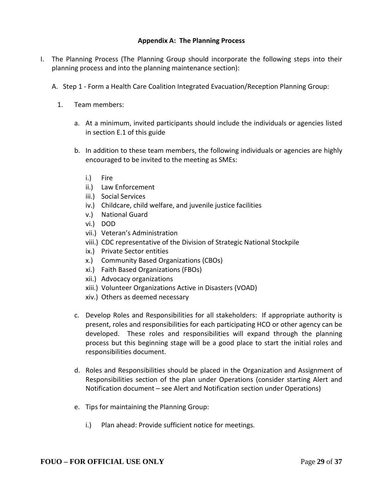### **Appendix A: The Planning Process**

- I. The Planning Process (The Planning Group should incorporate the following steps into their planning process and into the planning maintenance section):
	- A. Step 1 Form a Health Care Coalition Integrated Evacuation/Reception Planning Group:
		- 1. Team members:
			- a. At a minimum, invited participants should include the individuals or agencies listed in section E.1 of this guide
			- b. In addition to these team members, the following individuals or agencies are highly encouraged to be invited to the meeting as SMEs:
				- i.) Fire
				- ii.) Law Enforcement
				- iii.) Social Services
				- iv.) Childcare, child welfare, and juvenile justice facilities
				- v.) National Guard
				- vi.) DOD
				- vii.) Veteran's Administration
				- viii.) CDC representative of the Division of Strategic National Stockpile
				- ix.) Private Sector entities
				- x.) Community Based Organizations (CBOs)
				- xi.) Faith Based Organizations (FBOs)
				- xii.) Advocacy organizations
				- xiii.) Volunteer Organizations Active in Disasters (VOAD)
				- xiv.) Others as deemed necessary
			- c. Develop Roles and Responsibilities for all stakeholders: If appropriate authority is present, roles and responsibilities for each participating HCO or other agency can be developed. These roles and responsibilities will expand through the planning process but this beginning stage will be a good place to start the initial roles and responsibilities document.
			- d. Roles and Responsibilities should be placed in the Organization and Assignment of Responsibilities section of the plan under Operations (consider starting Alert and Notification document – see Alert and Notification section under Operations)
			- e. Tips for maintaining the Planning Group:
				- i.) Plan ahead: Provide sufficient notice for meetings.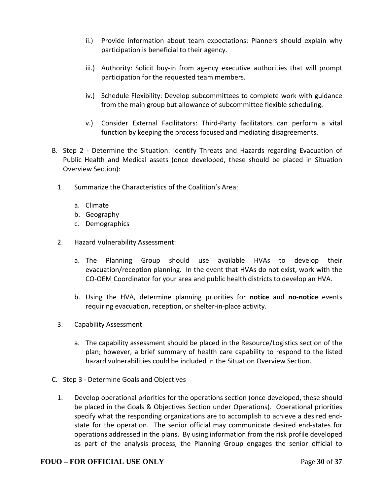- ii.) Provide information about team expectations: Planners should explain why participation is beneficial to their agency.
- iii.) Authority: Solicit buy-in from agency executive authorities that will prompt participation for the requested team members.
- iv.) Schedule Flexibility: Develop subcommittees to complete work with guidance from the main group but allowance of subcommittee flexible scheduling.
- v.) Consider External Facilitators: Third-Party facilitators can perform a vital function by keeping the process focused and mediating disagreements.
- B. Step 2 Determine the Situation: Identify Threats and Hazards regarding Evacuation of Public Health and Medical assets (once developed, these should be placed in Situation Overview Section):
	- 1. Summarize the Characteristics of the Coalition's Area:
		- a. Climate
		- b. Geography
		- c. Demographics
	- 2. Hazard Vulnerability Assessment:
		- a. The Planning Group should use available HVAs to develop their evacuation/reception planning. In the event that HVAs do not exist, work with the CO-OEM Coordinator for your area and public health districts to develop an HVA.
		- b. Using the HVA, determine planning priorities for **notice** and **no-notice** events requiring evacuation, reception, or shelter-in-place activity.
	- 3. Capability Assessment
		- a. The capability assessment should be placed in the Resource/Logistics section of the plan; however, a brief summary of health care capability to respond to the listed hazard vulnerabilities could be included in the Situation Overview Section.
- C. Step 3 Determine Goals and Objectives
	- 1. Develop operational priorities for the operations section (once developed, these should be placed in the Goals & Objectives Section under Operations). Operational priorities specify what the responding organizations are to accomplish to achieve a desired endstate for the operation. The senior official may communicate desired end-states for operations addressed in the plans. By using information from the risk profile developed as part of the analysis process, the Planning Group engages the senior official to

#### **FOUO – FOR OFFICIAL USE ONLY** Page **30** of **37**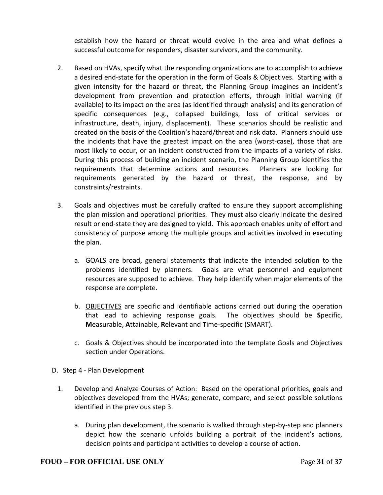establish how the hazard or threat would evolve in the area and what defines a successful outcome for responders, disaster survivors, and the community.

- 2. Based on HVAs, specify what the responding organizations are to accomplish to achieve a desired end-state for the operation in the form of Goals & Objectives. Starting with a given intensity for the hazard or threat, the Planning Group imagines an incident's development from prevention and protection efforts, through initial warning (if available) to its impact on the area (as identified through analysis) and its generation of specific consequences (e.g., collapsed buildings, loss of critical services or infrastructure, death, injury, displacement). These scenarios should be realistic and created on the basis of the Coalition's hazard/threat and risk data. Planners should use the incidents that have the greatest impact on the area (worst-case), those that are most likely to occur, or an incident constructed from the impacts of a variety of risks. During this process of building an incident scenario, the Planning Group identifies the requirements that determine actions and resources. Planners are looking for requirements generated by the hazard or threat, the response, and by constraints/restraints.
- 3. Goals and objectives must be carefully crafted to ensure they support accomplishing the plan mission and operational priorities. They must also clearly indicate the desired result or end-state they are designed to yield. This approach enables unity of effort and consistency of purpose among the multiple groups and activities involved in executing the plan.
	- a. GOALS are broad, general statements that indicate the intended solution to the problems identified by planners. Goals are what personnel and equipment resources are supposed to achieve. They help identify when major elements of the response are complete.
	- b. OBJECTIVES are specific and identifiable actions carried out during the operation that lead to achieving response goals. The objectives should be **S**pecific, **M**easurable, **A**ttainable, **R**elevant and **T**ime-specific (SMART).
	- c. Goals & Objectives should be incorporated into the template Goals and Objectives section under Operations.
- D. Step 4 Plan Development
	- 1. Develop and Analyze Courses of Action: Based on the operational priorities, goals and objectives developed from the HVAs; generate, compare, and select possible solutions identified in the previous step 3.
		- a. During plan development, the scenario is walked through step-by-step and planners depict how the scenario unfolds building a portrait of the incident's actions, decision points and participant activities to develop a course of action.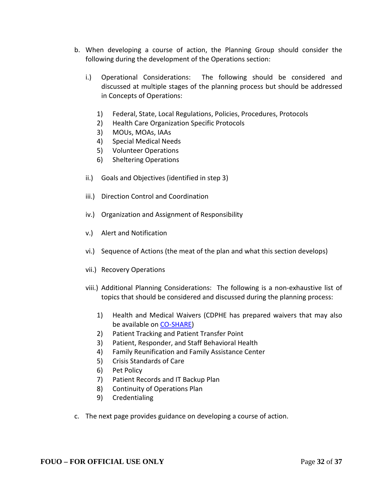- b. When developing a course of action, the Planning Group should consider the following during the development of the Operations section:
	- i.) Operational Considerations: The following should be considered and discussed at multiple stages of the planning process but should be addressed in Concepts of Operations:
		- 1) Federal, State, Local Regulations, Policies, Procedures, Protocols
		- 2) Health Care Organization Specific Protocols
		- 3) MOUs, MOAs, IAAs
		- 4) Special Medical Needs
		- 5) Volunteer Operations
		- 6) Sheltering Operations
	- ii.) Goals and Objectives (identified in step 3)
	- iii.) Direction Control and Coordination
	- iv.) Organization and Assignment of Responsibility
	- v.) Alert and Notification
	- vi.) Sequence of Actions (the meat of the plan and what this section develops)
	- vii.) Recovery Operations
	- viii.) Additional Planning Considerations: The following is a non-exhaustive list of topics that should be considered and discussed during the planning process:
		- 1) Health and Medical Waivers (CDPHE has prepared waivers that may also be available on [CO-SHARE\)](https://sites.google.com/a/state.co.us/coshare-access/)
		- 2) Patient Tracking and Patient Transfer Point
		- 3) Patient, Responder, and Staff Behavioral Health
		- 4) Family Reunification and Family Assistance Center
		- 5) Crisis Standards of Care
		- 6) Pet Policy
		- 7) Patient Records and IT Backup Plan
		- 8) Continuity of Operations Plan
		- 9) Credentialing
- c. The next page provides guidance on developing a course of action.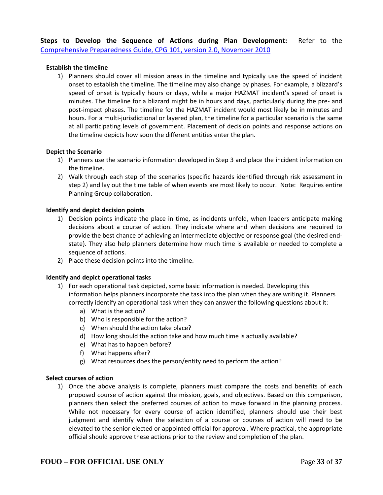**Steps to Develop the Sequence of Actions during Plan Development:** Refer to the [Comprehensive Preparedness Guide, CPG 101, version 2.0, November 2010](http://www.fema.gov/pdf/about/divisions/npd/CPG_101_V2.pdf)

#### **Establish the timeline**

1) Planners should cover all mission areas in the timeline and typically use the speed of incident onset to establish the timeline. The timeline may also change by phases. For example, a blizzard's speed of onset is typically hours or days, while a major HAZMAT incident's speed of onset is minutes. The timeline for a blizzard might be in hours and days, particularly during the pre- and post-impact phases. The timeline for the HAZMAT incident would most likely be in minutes and hours. For a multi-jurisdictional or layered plan, the timeline for a particular scenario is the same at all participating levels of government. Placement of decision points and response actions on the timeline depicts how soon the different entities enter the plan.

#### **Depict the Scenario**

- 1) Planners use the scenario information developed in Step 3 and place the incident information on the timeline.
- 2) Walk through each step of the scenarios (specific hazards identified through risk assessment in step 2) and lay out the time table of when events are most likely to occur. Note: Requires entire Planning Group collaboration.

#### **Identify and depict decision points**

- 1) Decision points indicate the place in time, as incidents unfold, when leaders anticipate making decisions about a course of action. They indicate where and when decisions are required to provide the best chance of achieving an intermediate objective or response goal (the desired endstate). They also help planners determine how much time is available or needed to complete a sequence of actions.
- 2) Place these decision points into the timeline.

#### **Identify and depict operational tasks**

- 1) For each operational task depicted, some basic information is needed. Developing this information helps planners incorporate the task into the plan when they are writing it. Planners correctly identify an operational task when they can answer the following questions about it:
	- a) What is the action?
	- b) Who is responsible for the action?
	- c) When should the action take place?
	- d) How long should the action take and how much time is actually available?
	- e) What has to happen before?
	- f) What happens after?
	- g) What resources does the person/entity need to perform the action?

#### **Select courses of action**

1) Once the above analysis is complete, planners must compare the costs and benefits of each proposed course of action against the mission, goals, and objectives. Based on this comparison, planners then select the preferred courses of action to move forward in the planning process. While not necessary for every course of action identified, planners should use their best judgment and identify when the selection of a course or courses of action will need to be elevated to the senior elected or appointed official for approval. Where practical, the appropriate official should approve these actions prior to the review and completion of the plan.

#### **FOUO – FOR OFFICIAL USE ONLY** Page **33** of **37**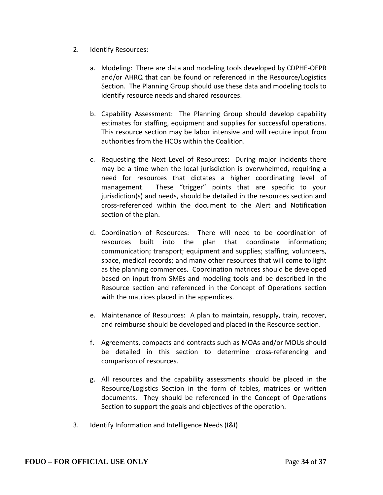- 2. Identify Resources:
	- a. Modeling: There are data and modeling tools developed by CDPHE-OEPR and/or AHRQ that can be found or referenced in the Resource/Logistics Section. The Planning Group should use these data and modeling tools to identify resource needs and shared resources.
	- b. Capability Assessment: The Planning Group should develop capability estimates for staffing, equipment and supplies for successful operations. This resource section may be labor intensive and will require input from authorities from the HCOs within the Coalition.
	- c. Requesting the Next Level of Resources: During major incidents there may be a time when the local jurisdiction is overwhelmed, requiring a need for resources that dictates a higher coordinating level of management. These "trigger" points that are specific to your jurisdiction(s) and needs, should be detailed in the resources section and cross-referenced within the document to the Alert and Notification section of the plan.
	- d. Coordination of Resources: There will need to be coordination of resources built into the plan that coordinate information; communication; transport; equipment and supplies; staffing, volunteers, space, medical records; and many other resources that will come to light as the planning commences. Coordination matrices should be developed based on input from SMEs and modeling tools and be described in the Resource section and referenced in the Concept of Operations section with the matrices placed in the appendices.
	- e. Maintenance of Resources: A plan to maintain, resupply, train, recover, and reimburse should be developed and placed in the Resource section.
	- f. Agreements, compacts and contracts such as MOAs and/or MOUs should be detailed in this section to determine cross-referencing and comparison of resources.
	- g. All resources and the capability assessments should be placed in the Resource/Logistics Section in the form of tables, matrices or written documents. They should be referenced in the Concept of Operations Section to support the goals and objectives of the operation.
- 3. Identify Information and Intelligence Needs (I&I)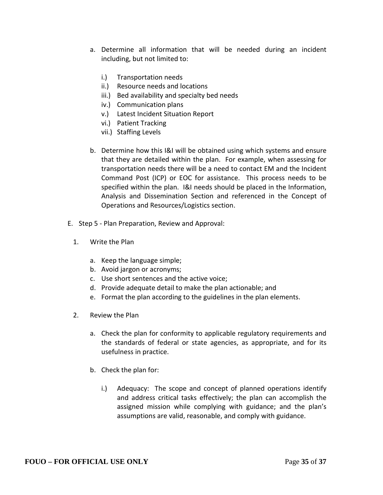- a. Determine all information that will be needed during an incident including, but not limited to:
	- i.) Transportation needs
	- ii.) Resource needs and locations
	- iii.) Bed availability and specialty bed needs
	- iv.) Communication plans
	- v.) Latest Incident Situation Report
	- vi.) Patient Tracking
	- vii.) Staffing Levels
- b. Determine how this I&I will be obtained using which systems and ensure that they are detailed within the plan. For example, when assessing for transportation needs there will be a need to contact EM and the Incident Command Post (ICP) or EOC for assistance. This process needs to be specified within the plan. I&I needs should be placed in the Information, Analysis and Dissemination Section and referenced in the Concept of Operations and Resources/Logistics section.
- E. Step 5 Plan Preparation, Review and Approval:
	- 1. Write the Plan
		- a. Keep the language simple;
		- b. Avoid jargon or acronyms;
		- c. Use short sentences and the active voice;
		- d. Provide adequate detail to make the plan actionable; and
		- e. Format the plan according to the guidelines in the plan elements.
	- 2. Review the Plan
		- a. Check the plan for conformity to applicable regulatory requirements and the standards of federal or state agencies, as appropriate, and for its usefulness in practice.
		- b. Check the plan for:
			- i.) Adequacy: The scope and concept of planned operations identify and address critical tasks effectively; the plan can accomplish the assigned mission while complying with guidance; and the plan's assumptions are valid, reasonable, and comply with guidance.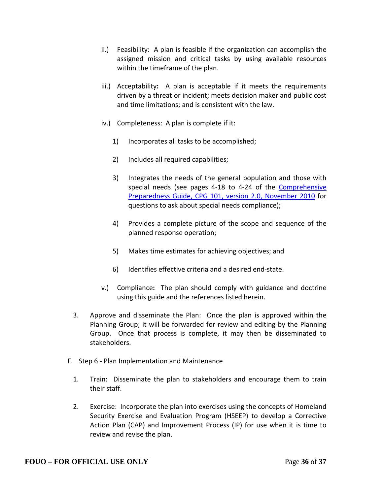- ii.) Feasibility: A plan is feasible if the organization can accomplish the assigned mission and critical tasks by using available resources within the timeframe of the plan.
- iii.) Acceptability**:** A plan is acceptable if it meets the requirements driven by a threat or incident; meets decision maker and public cost and time limitations; and is consistent with the law.
- iv.) Completeness: A plan is complete if it:
	- 1) Incorporates all tasks to be accomplished;
	- 2) Includes all required capabilities;
	- 3) Integrates the needs of the general population and those with special needs (see pages 4-18 to 4-24 of the Comprehensive [Preparedness Guide, CPG 101, version 2.0, November 2010](http://www.fema.gov/pdf/about/divisions/npd/CPG_101_V2.pdf) for questions to ask about special needs compliance);
	- 4) Provides a complete picture of the scope and sequence of the planned response operation;
	- 5) Makes time estimates for achieving objectives; and
	- 6) Identifies effective criteria and a desired end-state.
- v.) Compliance**:** The plan should comply with guidance and doctrine using this guide and the references listed herein.
- 3. Approve and disseminate the Plan: Once the plan is approved within the Planning Group; it will be forwarded for review and editing by the Planning Group. Once that process is complete, it may then be disseminated to stakeholders.
- F. Step 6 Plan Implementation and Maintenance
	- 1. Train: Disseminate the plan to stakeholders and encourage them to train their staff.
	- 2. Exercise: Incorporate the plan into exercises using the concepts of Homeland Security Exercise and Evaluation Program (HSEEP) to develop a Corrective Action Plan (CAP) and Improvement Process (IP) for use when it is time to review and revise the plan.